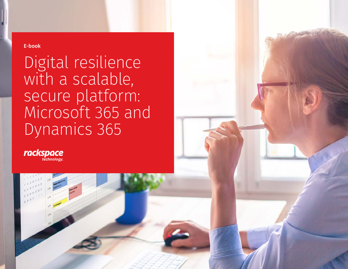E-book

Digital resilience with a scalable, secure platform: Microsoft 365 and Dynamics 365

rackspace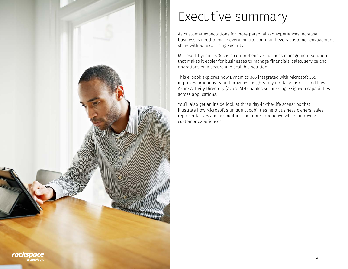

# Executive summary

As customer expectations for more personalized experiences increase, businesses need to make every minute count and every customer engagement shine without sacrificing security.

Microsoft Dynamics 365 is a comprehensive business management solution that makes it easier for businesses to manage financials, sales, service and operations on a secure and scalable solution.

This e-book explores how Dynamics 365 integrated with Microsoft 365 improves productivity and provides insights to your daily tasks — and how Azure Activity Directory (Azure AD) enables secure single sign-on capabilities across applications.

You'll also get an inside look at three day-in-the-life scenarios that illustrate how Microsoft's unique capabilities help business owners, sales representatives and accountants be more productive while improving customer experiences.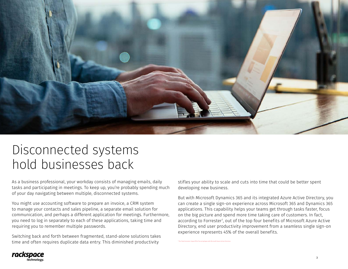

#### Disconnected systems hold businesses back

As a business professional, your workday consists of managing emails, daily tasks and participating in meetings. To keep up, you're probably spending much of your day navigating between multiple, disconnected systems.

You might use accounting software to prepare an invoice, a CRM system to manage your contacts and sales pipeline, a separate email solution for communication, and perhaps a different application for meetings. Furthermore, you need to log in separately to each of these applications, taking time and requiring you to remember multiple passwords.

Switching back and forth between fragmented, stand-alone solutions takes time and often requires duplicate data entry. This diminished productivity

stifles your ability to scale and cuts into time that could be better spent developing new business.

[The Total Economic ImpactTM of Securing Apps with Microsoft Azure Active Directory](https://www.microsoft.com/en-us/security/business/forrester-tei-study)

But with Microsoft Dynamics 365 and its integrated Azure Active Directory, you can create a single sign-on experience across Microsoft 365 and Dynamics 365 applications. This capability helps your teams get through tasks faster, focus on the big picture and spend more time taking care of customers. In fact, according to Forrester', out of the top four benefits of Microsoft Azure Active Directory, end user productivity improvement from a seamless single sign-on experience represents 45% of the overall benefits.

rackspace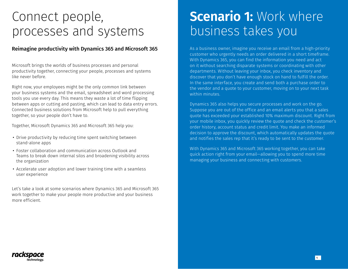#### Connect people, processes and systems

#### Reimagine productivity with Dynamics 365 and Microsoft 365

Microsoft brings the worlds of business processes and personal productivity together, connecting your people, processes and systems like never before.

Right now, your employees might be the only common link between your business systems and the email, spreadsheet and word processing tools you use every day. This means they waste a lot of time flipping between apps or cutting and pasting, which can lead to data entry errors. Connected business solutions from Microsoft help to pull everything together, so your people don't have to.

Together, Microsoft Dynamics 365 and Microsoft 365 help you:

- Drive productivity by reducing time spent switching between stand-alone apps
- Foster collaboration and communication across Outlook and Teams to break down internal silos and broadening visibility across the organization
- Accelerate user adoption and lower training time with a seamless user experience

Let's take a look at some scenarios where Dynamics 365 and Microsoft 365 work together to make your people more productive and your business more efficient.

### **Scenario 1: Work where** business takes you

As a business owner, imagine you receive an email from a high-priority customer who urgently needs an order delivered in a short timeframe. With Dynamics 365, you can find the information you need and act on it without searching disparate systems or coordinating with other departments. Without leaving your inbox, you check inventory and discover that you don't have enough stock on hand to fulfill the order. In the same interface, you create and send both a purchase order to the vendor and a quote to your customer, moving on to your next task within minutes.

Dynamics 365 also helps you secure processes and work on the go. Suppose you are out of the office and an email alerts you that a sales quote has exceeded your established 10% maximum discount. Right from your mobile inbox, you quickly review the quote and check the customer's order history, account status and credit limit. You make an informed decision to approve the discount, which automatically updates the quote and notifies the sales rep that it's ready to be sent to the customer.

With Dynamics 365 and Microsoft 365 working together, you can take quick action right from your email—allowing you to spend more time managing your business and connecting with customers.

rackspace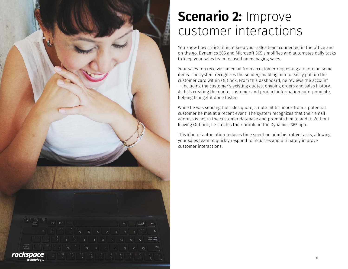

### **Scenario 2: Improve** customer interactions

You know how critical it is to keep your sales team connected in the office and on the go. Dynamics 365 and Microsoft 365 simplifies and automates daily tasks to keep your sales team focused on managing sales.

Your sales rep receives an email from a customer requesting a quote on some items. The system recognizes the sender, enabling him to easily pull up the customer card within Outlook. From this dashboard, he reviews the account — including the customer's existing quotes, ongoing orders and sales history. As he's creating the quote, customer and product information auto-populate, helping him get it done faster.

While he was sending the sales quote, a note hit his inbox from a potential customer he met at a recent event. The system recognizes that their email address is not in the customer database and prompts him to add it. Without leaving Outlook, he creates their profile in the Dynamics 365 app.

This kind of automation reduces time spent on administrative tasks, allowing your sales team to quickly respond to inquiries and ultimately improve customer interactions.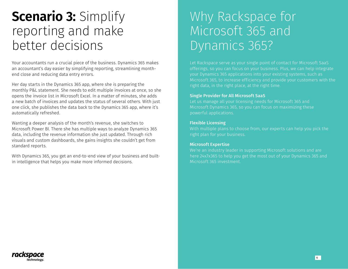## **Scenario 3:** Simplify reporting and make better decisions

Your accountants run a crucial piece of the business. Dynamics 365 makes an accountant's day easier by simplifying reporting, streamlining monthend close and reducing data entry errors.

Her day starts in the Dynamics 365 app, where she is preparing the monthly P&L statement. She needs to edit multiple invoices at once, so she opens the invoice list in Microsoft Excel. In a matter of minutes, she adds a new batch of invoices and updates the status of several others. With just one click, she publishes the data back to the Dynamics 365 app, where it's automatically refreshed.

Wanting a deeper analysis of the month's revenue, she switches to Microsoft Power BI. There she has multiple ways to analyze Dynamics 365 data, including the revenue information she just updated. Through rich visuals and custom dashboards, she gains insights she couldn't get from standard reports.

With Dynamics 365, you get an end-to-end view of your business and builtin intelligence that helps you make more informed decisions.

### Why Rackspace for Microsoft 365 and Dynamics 365?

offerings, so you can focus on your business. Plus, we can help integrate your Dynamics 365 applications into your existing systems, such as Microsoft 365, to increase efficiency and provide your customers with the right data, in the right place, at the right time.

#### Single Provider for All Microsoft SaaS

Let us manage all your licensing needs for Microsoft 365 and Microsoft Dynamics 365, so you can focus on maximizing these powerful applications.

#### Flexible Licensing

With multiple plans to choose from, our experts can help you pick the right plan for your business.

#### Microsoft Expertise

We're an industry leader in supporting Microsoft solutions and are Microsoft 365 investment.